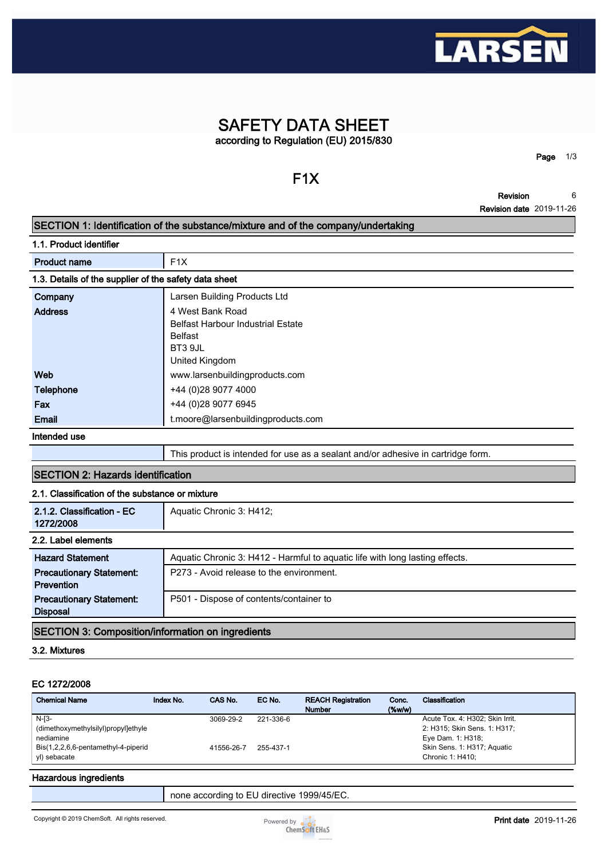

## **SAFETY DATA SHEET according to Regulation (EU) 2015/830**

# **F1X**

**Page 1/3**

**Revision 6**

## **Revision date 2019-11-26 SECTION 1: Identification of the substance/mixture and of the company/undertaking 1.1. Product identifier Product name** F1X **1.3. Details of the supplier of the safety data sheet Company Larsen Building Products Ltd Address 4 West Bank Road Belfast Harbour Industrial Estate Belfast BT3 9JL United Kingdom Web www.larsenbuildingproducts.com Telephone +44 (0)28 9077 4000 Fax**  $+44 (0)28 9077 6945$ **Email t.moore@larsenbuildingproducts.com Intended use This product is intended for use as a sealant and/or adhesive in cartridge form. SECTION 2: Hazards identification 2.1. Classification of the substance or mixture 2.1.2. Classification - EC 1272/2008 Aquatic Chronic 3: H412;**

| 14144000                                                 |                                                                              |  |  |  |  |
|----------------------------------------------------------|------------------------------------------------------------------------------|--|--|--|--|
| 2.2. Label elements                                      |                                                                              |  |  |  |  |
| <b>Hazard Statement</b>                                  | Aquatic Chronic 3: H412 - Harmful to aguatic life with long lasting effects. |  |  |  |  |
| <b>Precautionary Statement:</b>                          | P273 - Avoid release to the environment.                                     |  |  |  |  |
| <b>Prevention</b>                                        |                                                                              |  |  |  |  |
| <b>Precautionary Statement:</b>                          | P501 - Dispose of contents/container to                                      |  |  |  |  |
| <b>Disposal</b>                                          |                                                                              |  |  |  |  |
| <b>SECTION 3: Composition/information on ingredients</b> |                                                                              |  |  |  |  |

#### **3.2. Mixtures**

#### **EC 1272/2008**

| <b>Chemical Name</b>                | Index No. | CAS No.    | EC No.    | <b>REACH Registration</b><br><b>Number</b> | Conc.<br>$($ %w/w $)$ | Classification                  |
|-------------------------------------|-----------|------------|-----------|--------------------------------------------|-----------------------|---------------------------------|
| $N-I3-$                             |           | 3069-29-2  | 221-336-6 |                                            |                       | Acute Tox. 4: H302; Skin Irrit. |
| (dimethoxymethylsilyl)propyl]ethyle |           |            |           |                                            |                       | 2: H315; Skin Sens. 1: H317;    |
| nediamine                           |           |            |           |                                            |                       | Eye Dam. 1: H318;               |
| Bis(1,2,2,6,6-pentamethyl-4-piperid |           | 41556-26-7 | 255-437-1 |                                            |                       | Skin Sens. 1: H317; Aquatic     |
| yl) sebacate                        |           |            |           |                                            |                       | Chronic 1: H410:                |

#### **Hazardous ingredients**

**none according to EU directive 1999/45/EC.**

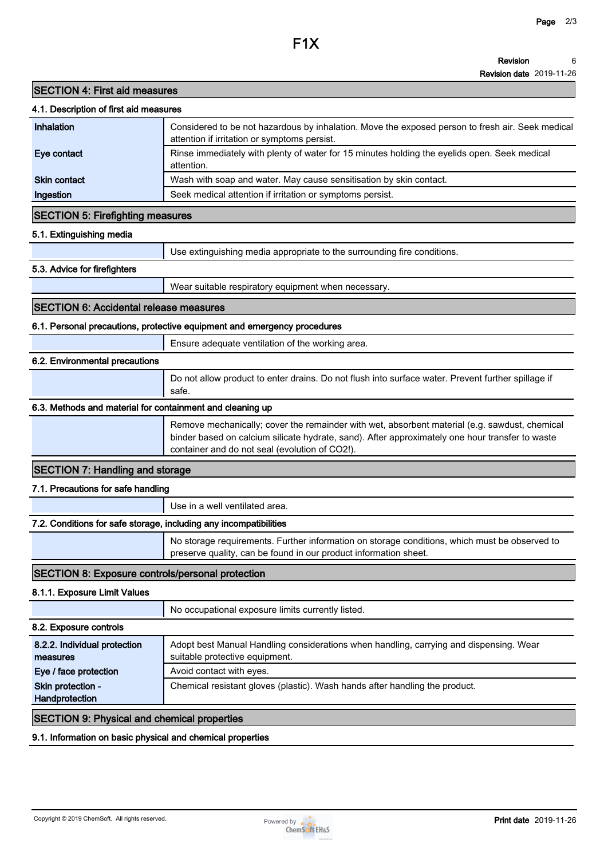**Revision date 2019-11-26**

## **SECTION 4: First aid measures**

| 4.1. Description of first aid measures                            |                                                                                                                                                                                                                                                    |
|-------------------------------------------------------------------|----------------------------------------------------------------------------------------------------------------------------------------------------------------------------------------------------------------------------------------------------|
| Inhalation                                                        | Considered to be not hazardous by inhalation. Move the exposed person to fresh air. Seek medical<br>attention if irritation or symptoms persist.                                                                                                   |
| Eye contact                                                       | Rinse immediately with plenty of water for 15 minutes holding the eyelids open. Seek medical<br>attention.                                                                                                                                         |
| <b>Skin contact</b>                                               | Wash with soap and water. May cause sensitisation by skin contact.                                                                                                                                                                                 |
| Ingestion                                                         | Seek medical attention if irritation or symptoms persist.                                                                                                                                                                                          |
| <b>SECTION 5: Firefighting measures</b>                           |                                                                                                                                                                                                                                                    |
| 5.1. Extinguishing media                                          |                                                                                                                                                                                                                                                    |
|                                                                   | Use extinguishing media appropriate to the surrounding fire conditions.                                                                                                                                                                            |
| 5.3. Advice for firefighters                                      |                                                                                                                                                                                                                                                    |
|                                                                   | Wear suitable respiratory equipment when necessary.                                                                                                                                                                                                |
| <b>SECTION 6: Accidental release measures</b>                     |                                                                                                                                                                                                                                                    |
|                                                                   | 6.1. Personal precautions, protective equipment and emergency procedures                                                                                                                                                                           |
|                                                                   | Ensure adequate ventilation of the working area.                                                                                                                                                                                                   |
| 6.2. Environmental precautions                                    |                                                                                                                                                                                                                                                    |
|                                                                   | Do not allow product to enter drains. Do not flush into surface water. Prevent further spillage if<br>safe.                                                                                                                                        |
| 6.3. Methods and material for containment and cleaning up         |                                                                                                                                                                                                                                                    |
|                                                                   | Remove mechanically; cover the remainder with wet, absorbent material (e.g. sawdust, chemical<br>binder based on calcium silicate hydrate, sand). After approximately one hour transfer to waste<br>container and do not seal (evolution of CO2!). |
| <b>SECTION 7: Handling and storage</b>                            |                                                                                                                                                                                                                                                    |
| 7.1. Precautions for safe handling                                |                                                                                                                                                                                                                                                    |
|                                                                   | Use in a well ventilated area.                                                                                                                                                                                                                     |
| 7.2. Conditions for safe storage, including any incompatibilities |                                                                                                                                                                                                                                                    |
|                                                                   | No storage requirements. Further information on storage conditions, which must be observed to<br>preserve quality, can be found in our product information sheet.                                                                                  |
| <b>SECTION 8: Exposure controls/personal protection</b>           |                                                                                                                                                                                                                                                    |
| 8.1.1. Exposure Limit Values                                      |                                                                                                                                                                                                                                                    |
|                                                                   | No occupational exposure limits currently listed.                                                                                                                                                                                                  |
| 8.2. Exposure controls                                            |                                                                                                                                                                                                                                                    |
| 8.2.2. Individual protection<br>measures                          | Adopt best Manual Handling considerations when handling, carrying and dispensing. Wear<br>suitable protective equipment.                                                                                                                           |
| Eye / face protection                                             | Avoid contact with eyes.                                                                                                                                                                                                                           |
| Skin protection -<br>Handprotection                               | Chemical resistant gloves (plastic). Wash hands after handling the product.                                                                                                                                                                        |
| <b>SECTION 9: Physical and chemical properties</b>                |                                                                                                                                                                                                                                                    |
|                                                                   |                                                                                                                                                                                                                                                    |

## **9.1. Information on basic physical and chemical properties**